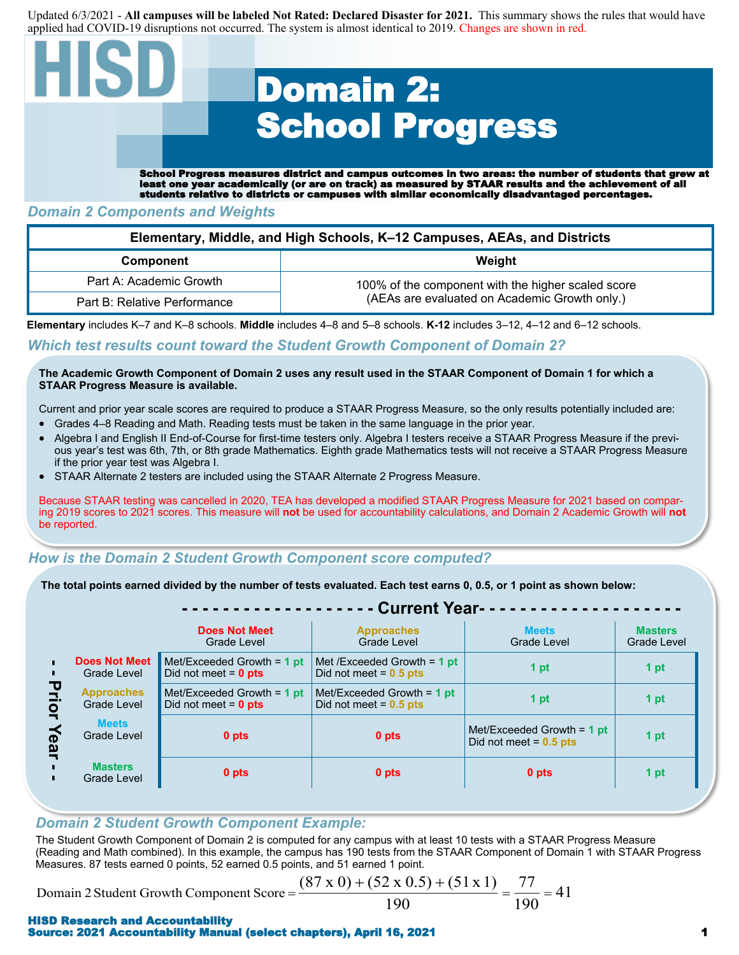Updated 6/3/2021 - **All campuses will be labeled Not Rated: Declared Disaster for 2021.** This summary shows the rules that would have applied had COVID-19 disruptions not occurred. The system is almost identical to 2019. Changes are shown in red.

# Domain 2: School Progress

School Progress measures district and campus outcomes in two areas: the number of students that grew at least one year academically (or are on track) as measured by STAAR results and the achievement of all students relative to districts or campuses with similar economically disadvantaged percentages.

## *Domain 2 Components and Weights*

| Elementary, Middle, and High Schools, K-12 Campuses, AEAs, and Districts |                                                    |  |  |  |  |
|--------------------------------------------------------------------------|----------------------------------------------------|--|--|--|--|
| <b>Component</b>                                                         | Weight                                             |  |  |  |  |
| Part A: Academic Growth                                                  | 100% of the component with the higher scaled score |  |  |  |  |
| Part B: Relative Performance                                             | (AEAs are evaluated on Academic Growth only.)      |  |  |  |  |

**Elementary** includes K–7 and K–8 schools. **Middle** includes 4–8 and 5–8 schools. **K-12** includes 3–12, 4–12 and 6–12 schools.

### *Which test results count toward the Student Growth Component of Domain 2?*

#### **The Academic Growth Component of Domain 2 uses any result used in the STAAR Component of Domain 1 for which a STAAR Progress Measure is available.**

Current and prior year scale scores are required to produce a STAAR Progress Measure, so the only results potentially included are:

- Grades 4–8 Reading and Math. Reading tests must be taken in the same language in the prior year.
- Algebra I and English II End-of-Course for first-time testers only. Algebra I testers receive a STAAR Progress Measure if the previous year's test was 6th, 7th, or 8th grade Mathematics. Eighth grade Mathematics tests will not receive a STAAR Progress Measure if the prior year test was Algebra I.
- STAAR Alternate 2 testers are included using the STAAR Alternate 2 Progress Measure.

Because STAAR testing was cancelled in 2020, TEA has developed a modified STAAR Progress Measure for 2021 based on comparing 2019 scores to 2021 scores. This measure will **not** be used for accountability calculations, and Domain 2 Academic Growth will **not**  be reported.

#### *How is the Domain 2 Student Growth Component score computed?*

**The total points earned divided by the number of tests evaluated. Each test earns 0, 0.5, or 1 point as shown below:** 

|                                      |                                                                         | - Current Year-                                                                                                             |                                                          |                                                          |                               |  |  |  |  |
|--------------------------------------|-------------------------------------------------------------------------|-----------------------------------------------------------------------------------------------------------------------------|----------------------------------------------------------|----------------------------------------------------------|-------------------------------|--|--|--|--|
|                                      |                                                                         | <b>Does Not Meet</b><br>Grade Level                                                                                         | <b>Approaches</b><br>Grade Level                         | <b>Meets</b><br>Grade Level                              | <b>Masters</b><br>Grade Level |  |  |  |  |
| τ<br>$\overline{\mathsf{Q}}$<br>Yeal | <b>Does Not Meet</b><br>Grade Level<br><b>Approaches</b><br>Grade Level | Met/Exceeded Growth = $1$ pt<br>Met /Exceeded Growth = $1$ pt<br>1 pt<br>Did not meet = $0.5$ pts<br>Did not meet = $0$ pts |                                                          |                                                          | 1 pt                          |  |  |  |  |
|                                      |                                                                         | Met/Exceeded Growth $= 1$ pt<br>Did not meet = $0$ pts                                                                      | Met/Exceeded Growth = $1$ pt<br>Did not meet = $0.5$ pts | 1 pt                                                     | 1 pt                          |  |  |  |  |
|                                      | <b>Meets</b><br>Grade Level                                             | 0 pts                                                                                                                       | 0 pts                                                    | Met/Exceeded Growth $=$ 1 pt<br>Did not meet = $0.5$ pts | 1 pt                          |  |  |  |  |
|                                      | <b>Masters</b><br>Grade Level                                           | 0 pts                                                                                                                       | 0 pts                                                    | 0 pts                                                    | 1 pt                          |  |  |  |  |
|                                      |                                                                         |                                                                                                                             |                                                          |                                                          |                               |  |  |  |  |

## *Domain 2 Student Growth Component Example:*

The Student Growth Component of Domain 2 is computed for any campus with at least 10 tests with a STAAR Progress Measure (Reading and Math combined). In this example, the campus has 190 tests from the STAAR Component of Domain 1 with STAAR Progress Measures. 87 tests earned 0 points, 52 earned 0.5 points, and 51 earned 1 point.

Domain 2 Student Growth Component Score =

$$
\frac{(87 \times 0) + (52 \times 0.5) + (51 \times 1)}{190} = \frac{77}{190} = 41
$$

#### HISD Research and Accountability Source: 2021 Accountability Manual (select chapters), April 16, 2021 1